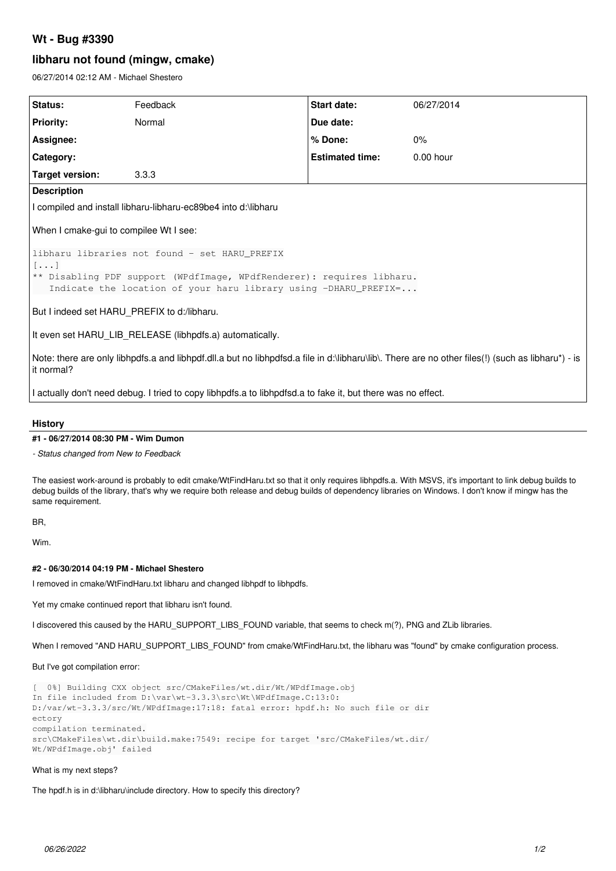# **Wt - Bug #3390**

## **libharu not found (mingw, cmake)**

06/27/2014 02:12 AM - Michael Shestero

| Status:                                                                                                                                                         | Feedback | Start date:            | 06/27/2014  |
|-----------------------------------------------------------------------------------------------------------------------------------------------------------------|----------|------------------------|-------------|
| <b>Priority:</b>                                                                                                                                                | Normal   | Due date:              |             |
| Assignee:                                                                                                                                                       |          | % Done:                | $0\%$       |
| Category:                                                                                                                                                       |          | <b>Estimated time:</b> | $0.00$ hour |
| <b>Target version:</b>                                                                                                                                          | 3.3.3    |                        |             |
| <b>Description</b>                                                                                                                                              |          |                        |             |
| I compiled and install libharu-libharu-ec89be4 into d:\libharu                                                                                                  |          |                        |             |
| When I cmake-gui to compilee Wt I see:                                                                                                                          |          |                        |             |
| libharu libraries not found - set HARU PREFIX<br>$[\ldots]$                                                                                                     |          |                        |             |
| ** Disabling PDF support (WPdfImage, WPdfRenderer): requires libharu.<br>Indicate the location of your haru library using -DHARU PREFIX=                        |          |                        |             |
| But I indeed set HARU PREFIX to d:/libharu.                                                                                                                     |          |                        |             |
| It even set HARU LIB RELEASE (libhpdfs.a) automatically.                                                                                                        |          |                        |             |
| Note: there are only libhpdfs.a and libhpdf.dll.a but no libhpdfsd.a file in d:\libharu\lib\. There are no other files(!) (such as libharu*) - is<br>it normal? |          |                        |             |

I actually don't need debug. I tried to copy libhpdfs.a to libhpdfsd.a to fake it, but there was no effect.

#### **History**

#### **#1 - 06/27/2014 08:30 PM - Wim Dumon**

*- Status changed from New to Feedback*

The easiest work-around is probably to edit cmake/WtFindHaru.txt so that it only requires libhpdfs.a. With MSVS, it's important to link debug builds to debug builds of the library, that's why we require both release and debug builds of dependency libraries on Windows. I don't know if mingw has the same requirement.

BR,

Wim.

#### **#2 - 06/30/2014 04:19 PM - Michael Shestero**

I removed in cmake/WtFindHaru.txt libharu and changed libhpdf to libhpdfs.

Yet my cmake continued report that libharu isn't found.

I discovered this caused by the HARU\_SUPPORT\_LIBS\_FOUND variable, that seems to check m(?), PNG and ZLib libraries.

When I removed "AND HARU\_SUPPORT\_LIBS\_FOUND" from cmake/WtFindHaru.txt, the libharu was "found" by cmake configuration process.

But I've got compilation error:

[ 0%] Building CXX object src/CMakeFiles/wt.dir/Wt/WPdfImage.obj In file included from D:\var\wt-3.3.3\src\Wt\WPdfImage.C:13:0: D:/var/wt-3.3.3/src/Wt/WPdfImage:17:18: fatal error: hpdf.h: No such file or dir ectory compilation terminated. src\CMakeFiles\wt.dir\build.make:7549: recipe for target 'src/CMakeFiles/wt.dir/ Wt/WPdfImage.obj' failed

#### What is my next steps?

The hpdf.h is in d:\libharu\include directory. How to specify this directory?